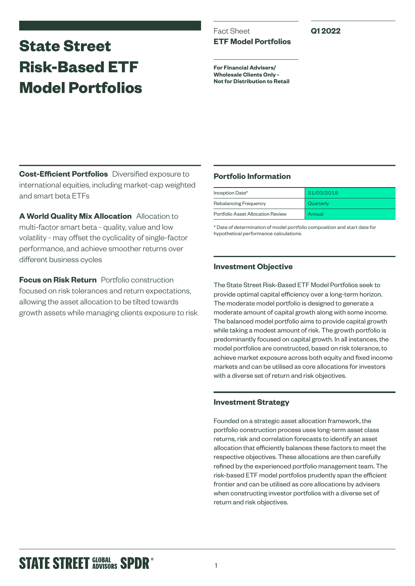# **State Street Risk-Based ETF Model Portfolios**

## Fact Sheet **ETF Model Portfolios**

**Q1 2022**

**For Financial Advisers/ Wholesale Clients Only - Not for Distribution to Retail**

**Cost-Efficient Portfolios** Diversified exposure to international equities, including market-cap weighted and smart beta ETFs

**A World Quality Mix Allocation** Allocation to multi-factor smart beta - quality, value and low volatility - may offset the cyclicality of single-factor performance, and achieve smoother returns over different business cycles

**Focus on Risk Return** Portfolio construction focused on risk tolerances and return expectations, allowing the asset allocation to be tilted towards growth assets while managing clients exposure to risk

## **Portfolio Information**

| Inception Date*                   | 31/03/2019 |  |  |
|-----------------------------------|------------|--|--|
| Rebalancing Frequency             | Quarterly  |  |  |
| Portfolio Asset Allocation Review | Annual     |  |  |

\* Date of determination of model portfolio composition and start date for hypothetical performance calculations.

## **Investment Objective**

The State Street Risk-Based ETF Model Portfolios seek to provide optimal capital efficiency over a long-term horizon. The moderate model portfolio is designed to generate a moderate amount of capital growth along with some income. The balanced model portfolio aims to provide capital growth while taking a modest amount of risk. The growth portfolio is predominantly focused on capital growth. In all instances, the model portfolios are constructed, based on risk tolerance, to achieve market exposure across both equity and fixed income markets and can be utilised as core allocations for investors with a diverse set of return and risk objectives.

## **Investment Strategy**

Founded on a strategic asset allocation framework, the portfolio construction process uses long-term asset class returns, risk and correlation forecasts to identify an asset allocation that efficiently balances these factors to meet the respective objectives. These allocations are then carefully refined by the experienced portfolio management team. The risk-based ETF model portfolios prudently span the efficient frontier and can be utilised as core allocations by advisers when constructing investor portfolios with a diverse set of return and risk objectives.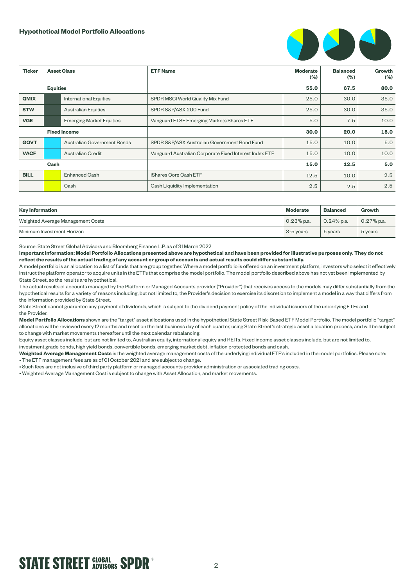#### **Hypothetical Model Portfolio Allocations**



| <b>Ticker</b> | <b>Asset Class</b>  |                                 | <b>ETF Name</b>                                        | <b>Moderate</b><br>(%) | <b>Balanced</b><br>$(\% )$ | Growth<br>$(\% )$ |
|---------------|---------------------|---------------------------------|--------------------------------------------------------|------------------------|----------------------------|-------------------|
|               | <b>Equities</b>     |                                 |                                                        | 55.0                   | 67.5                       | 80.0              |
| <b>QMIX</b>   |                     | <b>International Equities</b>   | SPDR MSCI World Quality Mix Fund                       | 25.0                   | 30.0                       | 35.0              |
| <b>STW</b>    |                     | <b>Australian Equities</b>      | SPDR S&P/ASX 200 Fund                                  | 25.0                   | 30.0                       | 35.0              |
| <b>VGE</b>    |                     | <b>Emerging Market Equities</b> | Vanguard FTSE Emerging Markets Shares ETF              | 5.0                    | 7.5                        | 10.0              |
|               | <b>Fixed Income</b> |                                 |                                                        | 30.0                   | 20.0                       | 15.0              |
| <b>GOVT</b>   |                     | Australian Government Bonds     | SPDR S&P/ASX Australian Government Bond Fund           | 15.0                   | 10.0                       | 5.0               |
| <b>VACF</b>   |                     | Australian Credit               | Vanguard Australian Corporate Fixed Interest Index ETF | 15.0                   | 10.0                       | 10.0              |
|               | Cash                |                                 |                                                        | 15.0                   | 12.5                       | 5.0               |
| <b>BILL</b>   |                     | <b>Enhanced Cash</b>            | iShares Core Cash ETF                                  | 12.5                   | 10.0                       | 2.5               |
|               |                     | Cash                            | Cash Liquidity Implementation                          | 2.5                    | 2.5                        | 2.5               |

| <b>Moderate</b><br><b>Key Information</b> |              | <b>Balanced</b> | Growth        |
|-------------------------------------------|--------------|-----------------|---------------|
| Weighted Average Management Costs         | $0.23%$ p.a. | $0.24\%$ p.a.   | $0.27\%$ p.a. |
| Minimum Investment Horizon                | 3-5 years    | 5 years         | 5 years       |

Source: State Street Global Advisors and Bloomberg Finance L.P. as of 31 March 2022

**Important Information: Model Portfolio Allocations presented above are hypothetical and have been provided for illustrative purposes only. They do not reflect the results of the actual trading of any account or group of accounts and actual results could differ substantially.**

A model portfolio is an allocation to a list of funds that are group together. Where a model portfolio is offered on an investment platform, investors who select it effectively instruct the platform operator to acquire units in the ETFs that comprise the model portfolio. The model portfolio described above has not yet been implemented by State Street, so the results are hypothetical.

The actual results of accounts managed by the Platform or Managed Accounts provider ("Provider") that receives access to the models may differ substantially from the hypothetical results for a variety of reasons including, but not limited to, the Provider's decision to exercise its discretion to implement a model in a way that differs from the information provided by State Street.

State Street cannot guarantee any payment of dividends, which is subject to the dividend payment policy of the individual issuers of the underlying ETFs and the Provider.

**Model Portfolio Allocations** shown are the "target" asset allocations used in the hypothetical State Street Risk-Based ETF Model Portfolio. The model portfolio "target" allocations will be reviewed every 12 months and reset on the last business day of each quarter, using State Street's strategic asset allocation process, and will be subject to change with market movements thereafter until the next calendar rebalancing.

Equity asset classes include, but are not limited to, Australian equity, international equity and REITs. Fixed income asset classes include, but are not limited to, investment grade bonds, high yield bonds, convertible bonds, emerging market debt, inflation protected bonds and cash.

**Weighted Average Management Costs** is the weighted average management costs of the underlying individual ETF's included in the model portfolios. Please note: • The ETF management fees are as of 01 October 2021 and are subject to change.

• Such fees are not inclusive of third party platform or managed accounts provider administration or associated trading costs.

• Weighted Average Management Cost is subject to change with Asset Allocation, and market movements.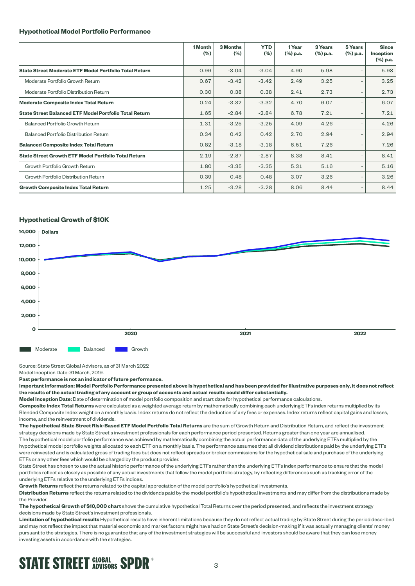#### **Hypothetical Model Portfolio Performance**

|                                                               | 1 Month<br>(%) | <b>3 Months</b><br>$(\% )$ | <b>YTD</b><br>(%) | 1 Year<br>(%) p.a. | 3 Years<br>(%) p.a. | 5 Years<br>(%) p.a.      | <b>Since</b><br>Inception<br>(%) p.a. |
|---------------------------------------------------------------|----------------|----------------------------|-------------------|--------------------|---------------------|--------------------------|---------------------------------------|
| State Street Moderate ETF Model Portfolio Total Return        | 0.96           | $-3.04$                    | $-3.04$           | 4.90               | 5.98                |                          | 5.98                                  |
| Moderate Portfolio Growth Return                              | 0.67           | $-3.42$                    | $-3.42$           | 2.49               | 3.25                | $\overline{\phantom{0}}$ | 3.25                                  |
| Moderate Portfolio Distribution Return                        | 0.30           | 0.38                       | 0.38              | 2.41               | 2.73                |                          | 2.73                                  |
| <b>Moderate Composite Index Total Return</b>                  | 0.24           | $-3.32$                    | $-3.32$           | 4.70               | 6.07                | $\overline{a}$           | 6.07                                  |
| <b>State Street Balanced ETF Model Portfolio Total Return</b> | 1.65           | $-2.84$                    | $-2.84$           | 6.78               | 7.21                | $\qquad \qquad$          | 7.21                                  |
| <b>Balanced Portfolio Growth Return</b>                       | 1.31           | $-3.25$                    | $-3.25$           | 4.09               | 4.26                | $\overline{\phantom{a}}$ | 4.26                                  |
| <b>Balanced Portfolio Distribution Return</b>                 | 0.34           | 0.42                       | 0.42              | 2.70               | 2.94                | $\overline{a}$           | 2.94                                  |
| <b>Balanced Composite Index Total Return</b>                  | 0.82           | $-3.18$                    | $-3.18$           | 6.51               | 7.26                |                          | 7.26                                  |
| <b>State Street Growth ETF Model Portfolio Total Return</b>   | 2.19           | $-2.87$                    | $-2.87$           | 8.38               | 8.41                |                          | 8.41                                  |
| Growth Portfolio Growth Return                                | 1.80           | $-3.35$                    | $-3.35$           | 5.31               | 5.16                |                          | 5.16                                  |
| Growth Portfolio Distribution Return                          | 0.39           | 0.48                       | 0.48              | 3.07               | 3.26                | $\overline{a}$           | 3.26                                  |
| <b>Growth Composite Index Total Return</b>                    | 1.25           | $-3.28$                    | $-3.28$           | 8.06               | 8.44                | $\overline{a}$           | 8.44                                  |

#### **Hypothetical Growth of \$10K**



Source: State Street Global Advisors, as of 31 March 2022

Model Inception Date: 31 March, 2019.

**Past performance is not an indicator of future performance.**

**Important Information: Model Portfolio Performance presented above is hypothetical and has been provided for illustrative purposes only, it does not reflect the results of the actual trading of any account or group of accounts and actual results could differ substantially.**

**Model Inception Date:** Date of determination of model portfolio composition and start date for hypothetical performance calculations.

**Composite Index Total Returns** were calculated as a weighted average return by mathematically combining each underlying ETFs index returns multiplied by its Blended Composite Index weight on a monthly basis. Index returns do not reflect the deduction of any fees or expenses. Index returns reflect capital gains and losses, income, and the reinvestment of dividends.

**The hypothetical State Street Risk-Based ETF Model Portfolio Total Returns** are the sum of Growth Return and Distribution Return, and reflect the investment strategy decisions made by State Street's investment professionals for each performance period presented. Returns greater than one year are annualised. The hypothetical model portfolio performance was achieved by mathematically combining the actual performance data of the underlying ETFs multiplied by the hypothetical model portfolio weights allocated to each ETF on a monthly basis. The performance assumes that all dividend distributions paid by the underlying ETFs were reinvested and is calculated gross of trading fees but does not reflect spreads or broker commissions for the hypothetical sale and purchase of the underlying ETFs or any other fees which would be charged by the product provider.

State Street has chosen to use the actual historic performance of the underlying ETFs rather than the underlying ETFs index performance to ensure that the model portfolios reflect as closely as possible of any actual investments that follow the model portfolio strategy, by reflecting differences such as tracking error of the underlying ETFs relative to the underlying ETFs indices.

**Growth Returns** reflect the returns related to the capital appreciation of the model portfolio's hypothetical investments.

**Distribution Returns** reflect the returns related to the dividends paid by the model portfolio's hypothetical investments and may differ from the distributions made by the Provider.

**The hypothetical Growth of \$10,000 chart** shows the cumulative hypothetical Total Returns over the period presented, and reflects the investment strategy decisions made by State Street's investment professionals.

**Limitation of hypothetical results** Hypothetical results have inherent limitations because they do not reflect actual trading by State Street during the period described and may not reflect the impact that material economic and market factors might have had on State Street's decision-making if it was actually managing clients' money pursuant to the strategies. There is no guarantee that any of the investment strategies will be successful and investors should be aware that they can lose money investing assets in accordance with the strategies.